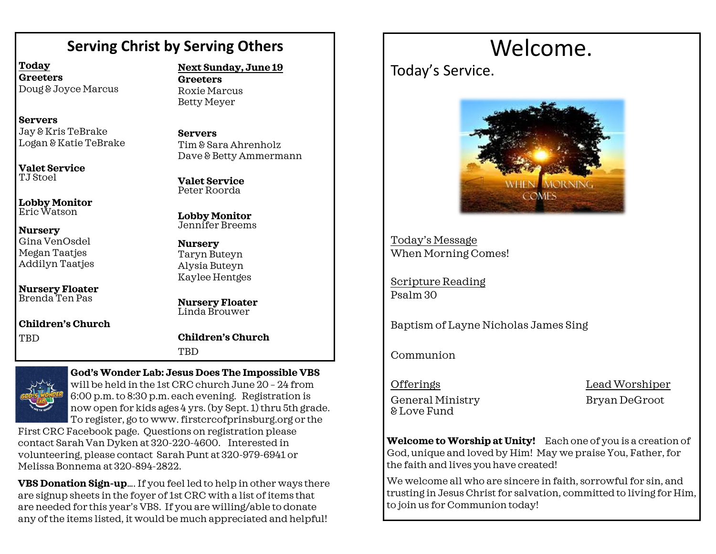# **Serving Christ by Serving Others**

**Today Greeters** Doug & Joyce Marcus

**Servers** Jay & Kris TeBrake Logan & Katie TeBrake

**Valet Service** TJ Stoel

**Lobby Monitor** Eric Watson

**Nursery** Gina VenOsdel Megan Taatjes Addilyn Taatjes

**Nursery Floater** Brenda Ten Pas

**Children's Church TBD** 

**Next Sunday, June 19**

**Greeters** Roxie Marcus Betty Meyer

**Servers** Tim & Sara Ahrenholz Dave & Betty Ammermann

**Valet Service** Peter Roorda

**Lobby Monitor** Jennifer Breems

**Nursery** Taryn Buteyn Alysia Buteyn Kaylee Hentges

**Nursery Floater** Linda Brouwer

**Children's Church TRD** 



**God's Wonder Lab: Jesus Does The Impossible VBS** 

will be held in the 1st CRC churchJune 20 – 24 from 6:00 p.m. to 8:30 p.m. each evening. Registration is now open for kids ages 4 yrs. (by Sept. 1) thru 5th grade. To register, go to www. firstcrcofprinsburg.org or the

First CRC Facebook page. Questions on registration please contact Sarah Van Dyken at 320-220-4600. Interested in volunteering, please contact Sarah Punt at 320-979-6941 or Melissa Bonnema at 320-894-2822.

**VBS Donation Sign-up**…. If you feel led to help in other ways there are signup sheets in the foyer of 1st CRC with a list of items that are needed for this year's VBS. If you are willing/able to donate any of the items listed, it would be much appreciated and helpful!

# Welcome.

Today's Service.



Today's Message When Morning Comes!

Scripture Reading Psalm 30

Baptism of Layne Nicholas James Sing

Communion

OfferingsLead Worshiper General Ministry Bryan DeGroot & Love Fund

**Welcome to Worship at Unity!** Each one of you is a creation of God, unique and loved by Him! May we praise You, Father, for the faith and lives you have created!

We welcome all who are sincere in faith, sorrowful for sin, and trusting in Jesus Christ for salvation, committed to living for Him, to join us for Communion today!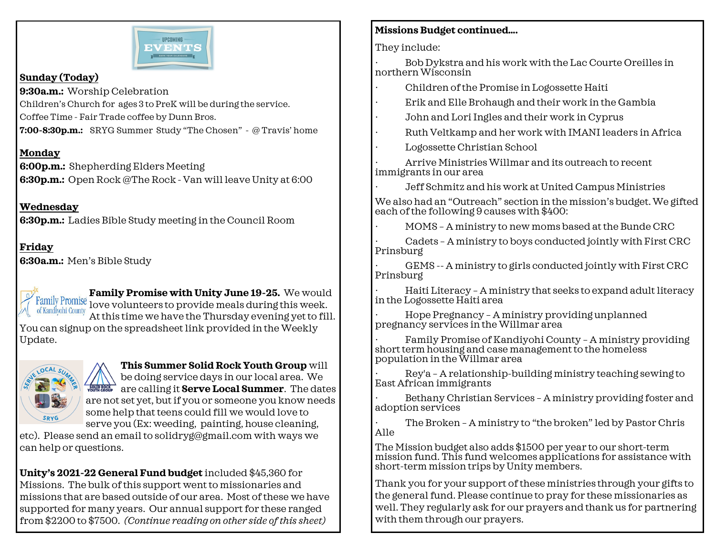

### **Sunday (Today)**

**9:30a.m.:** Worship Celebration

Children's Church for ages 3 to PreK will be during the service.

Coffee Time - Fair Trade coffee by Dunn Bros.

**7:00-8:30p.m.:** SRYG Summer Study "The Chosen" - @ Travis' home

# **Monday**

**6:00p.m.:** Shepherding Elders Meeting **6:30p.m.:** Open Rock @The Rock - Van will leave Unity at 6:00

**Wednesday 6:30p.m.:** Ladies Bible Study meeting in the Council Room

#### **Friday 6:30a.m.:** Men's Bible Study

**Family Promise with Unity June 19-25.** We would Family Promise **Family 11 Collection** 1999 of Pamily Promise during this week. of Kandiyohi County At this time we have the Thursday evening yet to fill. You can signup on the spreadsheet link provided in the Weekly Update.



**This Summer Solid Rock Youth Group** will be doing service days in our local area. We **ARCH ARRY ARE CALLING It Serve Local Summer**. The dates are not set yet, but if you or someone you know needs some help that teens could fill we would love to serve you (Ex: weeding, painting, house cleaning,

etc). Please send an email to solidryg@gmail.com with ways we can help or questions.

**Unity's 2021-22 General Fund budget** included \$45,360 for Missions. The bulk of this support went to missionaries and missions that are based outside of our area. Most of these we have supported for many years. Our annual support for these ranged from \$2200 to \$7500. *(Continue reading on other side of this sheet)*

# **Missions Budget continued….**

They include:

· Bob Dykstra and his work with the Lac Courte Oreilles in northern Wisconsin

- · Children of the Promise in Logossette Haiti
- · Erik and Elle Brohaugh and their work in the Gambia
- John and Lori Ingles and their work in Cyprus
- · Ruth Veltkamp and her work with IMANI leaders in Africa
- Logossette Christian School

· Arrive Ministries Willmar and its outreach to recent immigrants in our area

· Jeff Schmitz and his work at United Campus Ministries

We also had an "Outreach" section in the mission's budget. We gifted each of the following 9 causes with \$400:

· MOMS – A ministry to new moms based at the Bunde CRC

· Cadets – A ministry to boys conducted jointly with First CRC Prinsburg

GEMS -- A ministry to girls conducted jointly with First CRC Prinsburg

· Haiti Literacy – A ministry that seeks to expand adult literacy in the Logossette Haiti area

· Hope Pregnancy – A ministry providing unplanned pregnancy services in the Willmar area

Family Promise of Kandiyohi County - A ministry providing short term housing and case management to the homeless population in the Willmar area

· Rey'a – A relationship-building ministry teaching sewing to East African immigrants

Bethany Christian Services - A ministry providing foster and adoption services

The Broken - A ministry to "the broken" led by Pastor Chris Alle

The Mission budget also adds \$1500 per year to our short-term mission fund. This fund welcomes applications for assistance with short-term mission trips by Unity members.

Thank you for your support of these ministries through your gifts to the general fund. Please continue to pray for these missionaries as well. They regularly ask for our prayers and thank us for partnering with them through our prayers.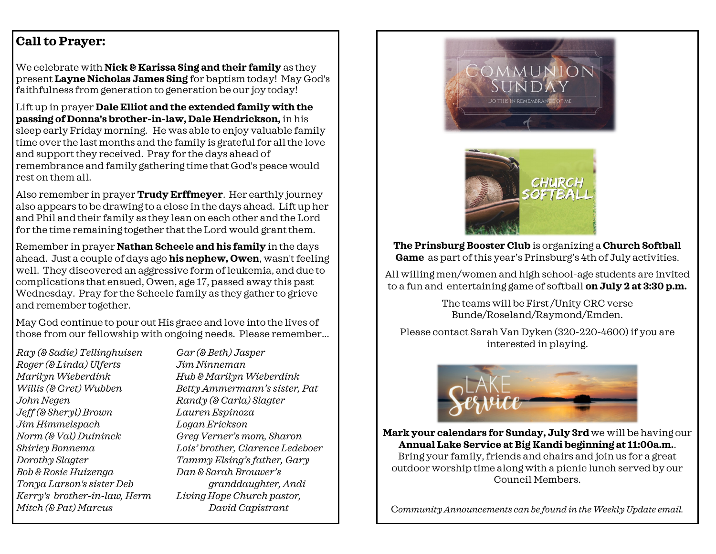# **Call to Prayer:**

We celebrate with **Nick & Karissa Sing and their family** as they present **Layne Nicholas James Sing** for baptism today! May God's faithfulness from generation to generation be our joy today!

Lift up in prayer **Dale Elliot and the extended family with the passing of Donna's brother-in-law, Dale Hendrickson,** in his sleep early Friday morning. He was able to enjoy valuable family time over the last months and the family is grateful for all the love and support they received. Pray for the days ahead of remembrance and family gathering time that God's peace would rest on them all.

Also remember in prayer **Trudy Erffmeyer**. Her earthly journey also appears to be drawing to a close in the days ahead. Lift up her and Phil and their family as they lean on each other and the Lord for the time remaining together that the Lord would grant them.

Remember in prayer **Nathan Scheele and his family** in the days ahead. Just a couple of days ago **his nephew, Owen**, wasn't feeling well. They discovered an aggressive form of leukemia, and due to complications that ensued, Owen, age 17, passed away this past Wednesday. Pray for the Scheele family as they gather to grieve and remember together.

May God continue to pour out His grace and love into the lives of those from our fellowship with ongoing needs. Please remember...

*Ray (& Sadie) Tellinghuisen Roger (& Linda) Ulferts Marilyn Wieberdink Willis (& Gret) Wubben John Negen Jeff (& Sheryl) Brown Jim Himmelspach Norm (& Val) Duininck Shirley Bonnema Dorothy Slagter Bob & Rosie Huizenga Tonya Larson's sister Deb Kerry's brother-in-law, Herm Mitch (& Pat) Marcus* 

*Gar (& Beth) Jasper Jim Ninneman Hub & Marilyn Wieberdink Betty Ammermann's sister, Pat Randy (& Carla) Slagter Lauren Espinoza Logan Erickson Greg Verner's mom, Sharon Lois' brother, Clarence Ledeboer Tammy Elsing's father, Gary Dan & Sarah Brouwer's granddaughter, Andi Living Hope Church pastor, David Capistrant*





**The Prinsburg Booster Club** is organizing a **Church Softball Game** as part of this year's Prinsburg's 4th of July activities.

All willing men/women and high school-age students are invited to a fun and entertaining game of softball **on July 2 at 3:30 p.m.** 

> The teams will be First /Unity CRC verse Bunde/Roseland/Raymond/Emden.

Please contact Sarah Van Dyken (320-220-4600) if you are interested in playing.



**Mark your calendars for Sunday, July 3rd** we will be having our **Annual Lake Service at Big Kandi beginning at 11:00a.m.**.

Bring your family, friends and chairs and join us for a great outdoor worship time along with a picnic lunch served by our Council Members.

C*ommunity Announcements can be found in the Weekly Update email.*